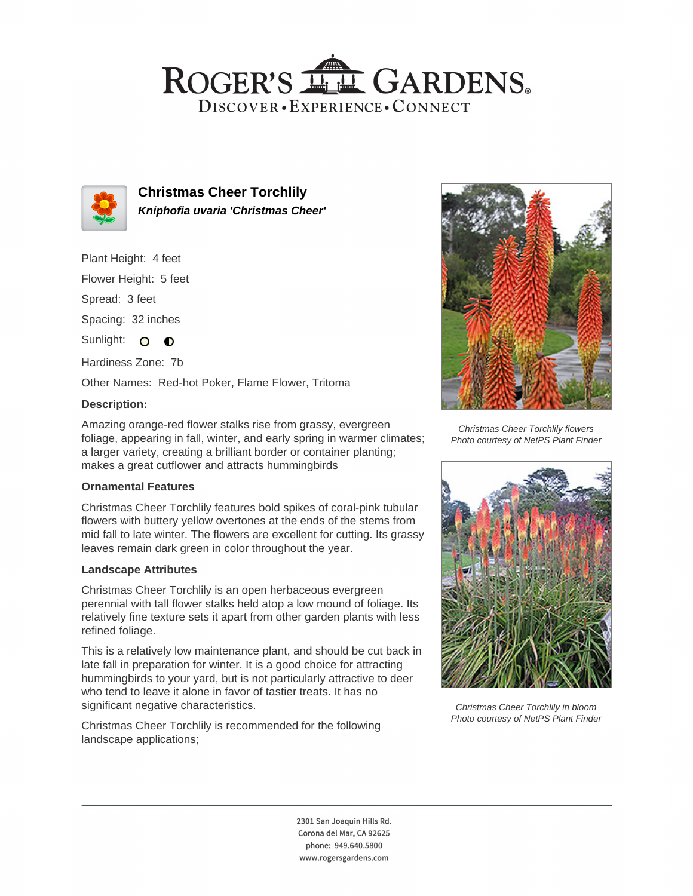## ROGER'S LL GARDENS. DISCOVER · EXPERIENCE · CONNECT



**Christmas Cheer Torchlily Kniphofia uvaria 'Christmas Cheer'**

Plant Height: 4 feet

Flower Height: 5 feet

Spread: 3 feet

Spacing: 32 inches

Sunlight: O **O** 

Hardiness Zone: 7b

Other Names: Red-hot Poker, Flame Flower, Tritoma

### **Description:**

Amazing orange-red flower stalks rise from grassy, evergreen foliage, appearing in fall, winter, and early spring in warmer climates; a larger variety, creating a brilliant border or container planting; makes a great cutflower and attracts hummingbirds

#### **Ornamental Features**

Christmas Cheer Torchlily features bold spikes of coral-pink tubular flowers with buttery yellow overtones at the ends of the stems from mid fall to late winter. The flowers are excellent for cutting. Its grassy leaves remain dark green in color throughout the year.

#### **Landscape Attributes**

Christmas Cheer Torchlily is an open herbaceous evergreen perennial with tall flower stalks held atop a low mound of foliage. Its relatively fine texture sets it apart from other garden plants with less refined foliage.

This is a relatively low maintenance plant, and should be cut back in late fall in preparation for winter. It is a good choice for attracting hummingbirds to your yard, but is not particularly attractive to deer who tend to leave it alone in favor of tastier treats. It has no significant negative characteristics.

Christmas Cheer Torchlily is recommended for the following landscape applications;



Christmas Cheer Torchlily flowers Photo courtesy of NetPS Plant Finder



Christmas Cheer Torchlily in bloom Photo courtesy of NetPS Plant Finder

2301 San Joaquin Hills Rd. Corona del Mar, CA 92625 phone: 949.640.5800 www.rogersgardens.com